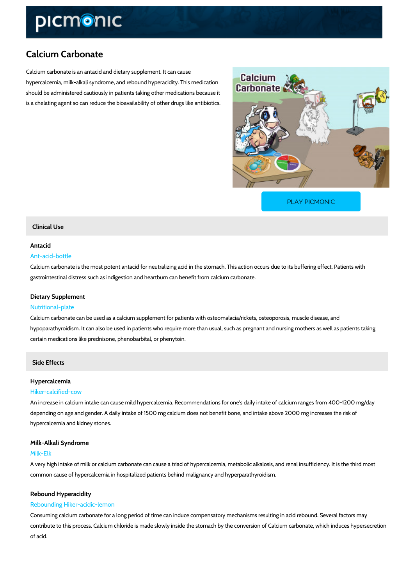# Calcium Carbonate

Calcium carbonate is an antacid and dietary supplement. It can cause hypercalcemia, milk-alkali syndrome, and rebound hyperacidity. This medication should be administered cautiously in patients taking other medications because it is a chelating agent so can reduce the bioavailability of other drugs like antibiotics.

[PLAY PICMONIC](https://www.picmonic.com/learn/calcium-carbonate_50322?utm_source=downloadable_content&utm_medium=distributedcontent&utm_campaign=pathways_pdf&utm_content=Calcium Carbonate&utm_ad_group=leads&utm_market=all)

# Clinical Use

# Antacid

# Ant-acid-bottle

Calcium carbonate is the most potent antacid for neutralizing acid in the stomach. This action gastrointestinal distress such as indigestion and heartburn can benefit from calcium carbonat

# Dietary Supplement

#### Nutritional-plate

Calcium carbonate can be used as a calcium supplement for patients with osteomalacia/rickets hypoparathyroidism. It can also be used in patients who require more than usual, such as preg certain medications like prednisone, phenobarbital, or phenytoin.

# Side Effects

#### Hypercalcemia

#### Hiker-calcified-cow

An increase in calcium intake can cause mild hypercalcemia. Recommendations for one's daily depending on age and gender. A daily intake of 1500 mg calcium does not benefit bone, and in hypercalcemia and kidney stones.

# Milk-Alkali Syndrome

## Milk-Elk

A very high intake of milk or calcium carbonate can cause a triad of hypercalcemia, metabolic common cause of hypercalcemia in hospitalized patients behind malignancy and hyperparathyr

#### Rebound Hyperacidity

#### Rebounding Hiker-acidic-lemon

Consuming calcium carbonate for a long period of time can induce compensatory mechanisms contribute to this process. Calcium chloride is made slowly inside the stomach by the convers of acid.